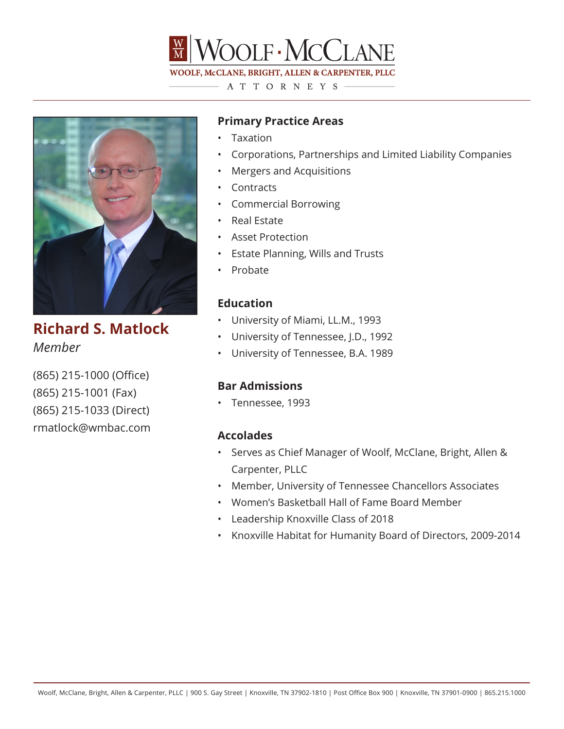

A T T O R N E Y S  $-$ 



**Richard S. Matlock** *Member*

(865) 215-1000 (Office) (865) 215-1001 (Fax) (865) 215-1033 (Direct) rmatlock@wmbac.com

# **Primary Practice Areas**

- Taxation
- Corporations, Partnerships and Limited Liability Companies
- Mergers and Acquisitions
- Contracts
- Commercial Borrowing
- Real Estate
- Asset Protection
- Estate Planning, Wills and Trusts
- Probate

## **Education**

- University of Miami, LL.M., 1993
- University of Tennessee, J.D., 1992
- University of Tennessee, B.A. 1989

## **Bar Admissions**

• Tennessee, 1993

### **Accolades**

- Serves as Chief Manager of Woolf, McClane, Bright, Allen & Carpenter, PLLC
- Member, University of Tennessee Chancellors Associates
- Women's Basketball Hall of Fame Board Member
- Leadership Knoxville Class of 2018
- Knoxville Habitat for Humanity Board of Directors, 2009-2014